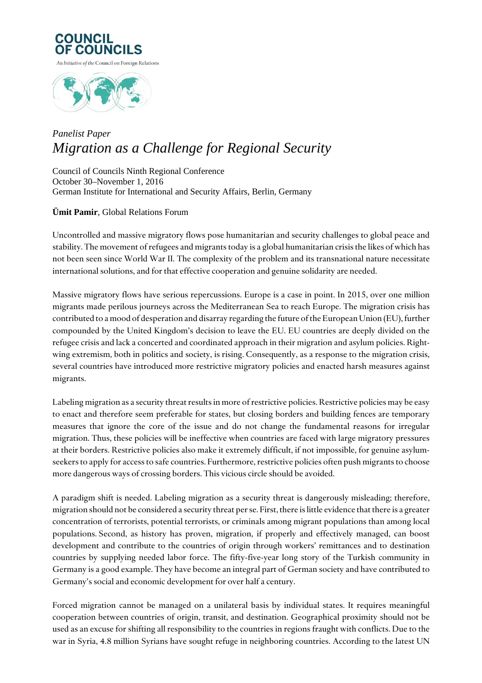



## *Panelist Paper Migration as a Challenge for Regional Security*

Council of Councils Ninth Regional Conference October 30–November 1, 2016 German Institute for International and Security Affairs, Berlin, Germany

## **Ümit Pamir**, Global Relations Forum

Uncontrolled and massive migratory flows pose humanitarian and security challenges to global peace and stability. The movement of refugees and migrants today is a global humanitarian crisis the likes of which has not been seen since World War II. The complexity of the problem and its transnational nature necessitate international solutions, and for that effective cooperation and genuine solidarity are needed.

Massive migratory flows have serious repercussions. Europe is a case in point. In 2015, over one million migrants made perilous journeys across the Mediterranean Sea to reach Europe. The migration crisis has contributed to a mood of desperation and disarray regarding the future of the European Union (EU), further compounded by the United Kingdom's decision to leave the EU. EU countries are deeply divided on the refugee crisis and lack a concerted and coordinated approach in their migration and asylum policies. Rightwing extremism, both in politics and society, is rising. Consequently, as a response to the migration crisis, several countries have introduced more restrictive migratory policies and enacted harsh measures against migrants.

Labeling migration as a security threat results in more of restrictive policies. Restrictive policies may be easy to enact and therefore seem preferable for states, but closing borders and building fences are temporary measures that ignore the core of the issue and do not change the fundamental reasons for irregular migration. Thus, these policies will be ineffective when countries are faced with large migratory pressures at their borders. Restrictive policies also make it extremely difficult, if not impossible, for genuine asylumseekers to apply for access to safe countries. Furthermore, restrictive policies often push migrants to choose more dangerous ways of crossing borders. This vicious circle should be avoided.

A paradigm shift is needed. Labeling migration as a security threat is dangerously misleading; therefore, migration should not be considered a security threat per se. First, there is little evidence that there is a greater concentration of terrorists, potential terrorists, or criminals among migrant populations than among local populations. Second, as history has proven, migration, if properly and effectively managed, can boost development and contribute to the countries of origin through workers' remittances and to destination countries by supplying needed labor force. The fifty-five-year long story of the Turkish community in Germany is a good example. They have become an integral part of German society and have contributed to Germany's social and economic development for over half a century.

Forced migration cannot be managed on a unilateral basis by individual states. It requires meaningful cooperation between countries of origin, transit, and destination. Geographical proximity should not be used as an excuse for shifting all responsibility to the countries in regions fraught with conflicts. Due to the war in Syria, 4.8 million Syrians have sought refuge in neighboring countries. According to the latest UN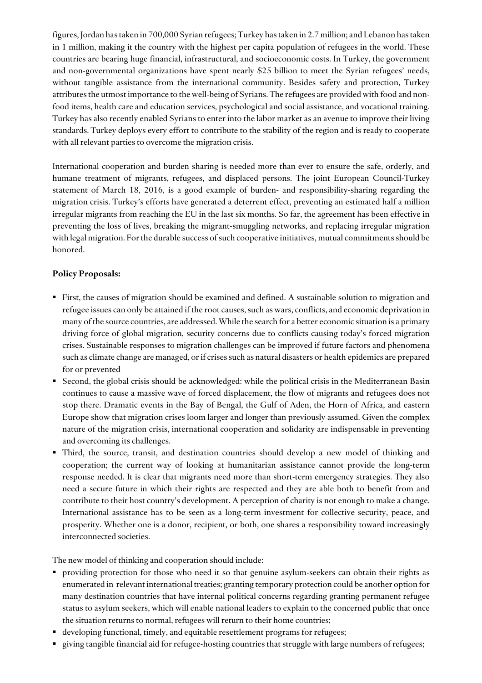figures, Jordan has taken in 700,000 Syrian refugees; Turkey has taken in 2.7 million; and Lebanon has taken in 1 million, making it the country with the highest per capita population of refugees in the world. These countries are bearing huge financial, infrastructural, and socioeconomic costs. In Turkey, the government and non-governmental organizations have spent nearly \$25 billion to meet the Syrian refugees' needs, without tangible assistance from the international community. Besides safety and protection, Turkey attributes the utmost importance to the well-being of Syrians. The refugees are provided with food and nonfood items, health care and education services, psychological and social assistance, and vocational training. Turkey has also recently enabled Syrians to enter into the labor market as an avenue to improve their living standards. Turkey deploys every effort to contribute to the stability of the region and is ready to cooperate with all relevant parties to overcome the migration crisis.

International cooperation and burden sharing is needed more than ever to ensure the safe, orderly, and humane treatment of migrants, refugees, and displaced persons. The joint European Council-Turkey statement of March 18, 2016, is a good example of burden- and responsibility-sharing regarding the migration crisis. Turkey's efforts have generated a deterrent effect, preventing an estimated half a million irregular migrants from reaching the EU in the last six months. So far, the agreement has been effective in preventing the loss of lives, breaking the migrant-smuggling networks, and replacing irregular migration with legal migration. For the durable success of such cooperative initiatives, mutual commitments should be honored.

## **Policy Proposals:**

- First, the causes of migration should be examined and defined. A sustainable solution to migration and refugee issues can only be attained if the root causes, such as wars, conflicts, and economic deprivation in many of the source countries, are addressed. While the search for a better economic situation is a primary driving force of global migration, security concerns due to conflicts causing today's forced migration crises. Sustainable responses to migration challenges can be improved if future factors and phenomena such as climate change are managed, or if crises such as natural disasters or health epidemics are prepared for or prevented
- Second, the global crisis should be acknowledged: while the political crisis in the Mediterranean Basin continues to cause a massive wave of forced displacement, the flow of migrants and refugees does not stop there. Dramatic events in the Bay of Bengal, the Gulf of Aden, the Horn of Africa, and eastern Europe show that migration crises loom larger and longer than previously assumed. Given the complex nature of the migration crisis, international cooperation and solidarity are indispensable in preventing and overcoming its challenges.
- Third, the source, transit, and destination countries should develop a new model of thinking and cooperation; the current way of looking at humanitarian assistance cannot provide the long-term response needed. It is clear that migrants need more than short-term emergency strategies. They also need a secure future in which their rights are respected and they are able both to benefit from and contribute to their host country's development. A perception of charity is not enough to make a change. International assistance has to be seen as a long-term investment for collective security, peace, and prosperity. Whether one is a donor, recipient, or both, one shares a responsibility toward increasingly interconnected societies.

The new model of thinking and cooperation should include:

- providing protection for those who need it so that genuine asylum-seekers can obtain their rights as enumerated in relevant international treaties; granting temporary protection could be another option for many destination countries that have internal political concerns regarding granting permanent refugee status to asylum seekers, which will enable national leaders to explain to the concerned public that once the situation returns to normal, refugees will return to their home countries;
- developing functional, timely, and equitable resettlement programs for refugees;
- giving tangible financial aid for refugee-hosting countries that struggle with large numbers of refugees;